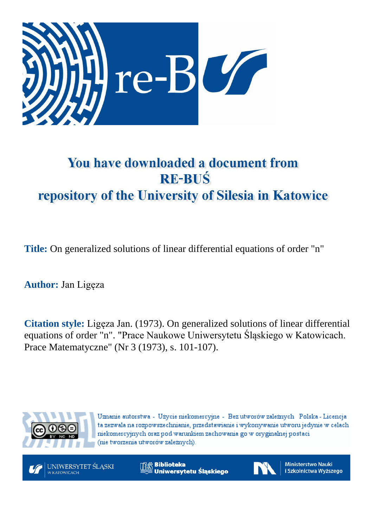

# You have downloaded a document from **RE-BUŚ** repository of the University of Silesia in Katowice

**Title:** On generalized solutions of linear differential equations of order "n"

**Author:** Jan Ligęza

**Citation style:** Ligęza Jan. (1973). On generalized solutions of linear differential equations of order "n". "Prace Naukowe Uniwersytetu Śląskiego w Katowicach. Prace Matematyczne" (Nr 3 (1973), s. 101-107).



Uznanie autorstwa - Użycie niekomercyjne - Bez utworów zależnych Polska - Licencja ta zezwala na rozpowszechnianie, przedstawianie i wykonywanie utworu jedynie w celach niekomercyjnych oraz pod warunkiem zachowania go w oryginalnej postaci (nie tworzenia utworów zależnych).



**Biblioteka** Uniwersytetu Śląskiego



**Ministerstwo Nauki** i Szkolnictwa Wyższego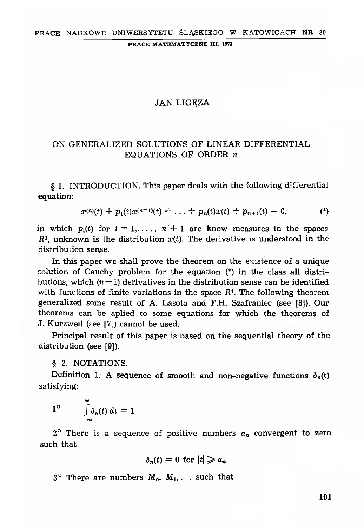PRACE MATEMATYCZNE III, 1973

## **JAN LIGEZA**

# ON GENERALIZED SOLUTIONS OF LINEAR DIFFERENTIAL EQUATIONS OF ORDER *n*

§ 1. INTRODUCTION. This paper deals with the following differential equation:

$$
x^{(n)}(t) + p_1(t)x^{(n-1)}(t) + \ldots + p_n(t)x(t) + p_{n+1}(t) = 0, \qquad (*)
$$

in which  $p_i(t)$  for  $i = 1, \ldots, n + 1$  are know measures in the spaces  $R<sup>1</sup>$ , unknown is the distribution  $x(t)$ . The derivative is understood in the distribution sense.

In this paper we shall prove the theorem on the existence of a unique solution of Cauchy problem for the equation (\*) in the class all distributions, which  $(n-1)$  derivatives in the distribution sense can be identified with functions of finite variations in the space  $R<sup>1</sup>$ . The following theorem generalized some result of A. Lasota and F.H. Szafraniec (see [8]). Our theorems can be aplied to some equations for which the theorems of J. Kurzweil (see [7]) cannot be used.

Principal result of this paper is based on the sequential theory of the distribution (see [9]).

§ 2. NOTATIONS.

Definition 1. A sequence of smooth and non-negative functions  $\delta_n(t)$ satisfying:

$$
1^{\circ} \qquad \int\limits_{-\infty}^{\infty} \delta_n(t) \, dt = 1
$$

 $2^{\circ}$  There is a sequence of positive numbers  $a_n$  convergent to zero such that

$$
\delta_n(t)=0 \ \text{for} \ |t|\geqslant a_n
$$

 $3^{\circ}$  There are numbers  $M_o$ ,  $M_1$ , ... such that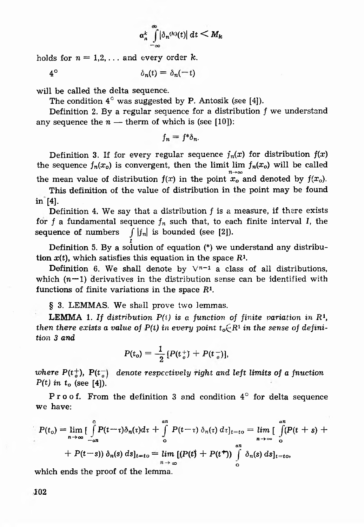$$
\alpha_n^k \int\limits_{-\infty}^{\infty} |\delta_n^{(k)}(t)| \, dt \leq M_k
$$

holds for  $n = 1, 2, \ldots$  and every order  $k$ .

 $4^{\circ}$   $\delta_n(t) = \delta_n(-t)$ 

will be called the delta sequence.

The condition  $4^\circ$  was suggested by P. Antosik (see [4]).

Definition 2. By a regular sequence for a distribution  $f$  we understand any sequence the  $n -$  therm of which is (see [10]):

$$
f_n = f^* \delta_n
$$

Definition 3. If for every regular sequence  $f_n(x)$  for distribution  $f(x)$ the sequence  $f_n(x_0)$  is convergent, then the limit lim  $f_n(x_0)$  will be called the mean value of distribution  $f(x)$  in the point  $x_0 \mod x_0$  and denoted by  $f(x_0)$ .

This definition of the value of distribution in the point may be found  $in$  [4].

Definition 4. We say that a distribution *j* is a measure, if there exists for *f* a fundamental sequence  $f_n$  such that, to each finite interval *I*, the sequence of numbers  $\int |f_n|$  is bounded (see [2]).

*i* Definition 5. By a solution of equation (\*) we understand any distribution  $x(t)$ , which satisfies this equation in the space  $R<sup>1</sup>$ .

Definition 6. We shall denote by  $\sqrt{n-1}$  a class of all distributions, which  $(n-1)$  derivatives in the distribution sense can be identified with functions of finite variations in the space  $R<sup>1</sup>$ .

§ 3. LEMMAS. We shall prove two lemmas.

**LEMMA** 1. If distribution  $P(i)$  is a function of finite variation in  $R<sup>1</sup>$ , *then there exists a value of P(t) in every point*  $t_o \in R^1$  *in the sense of definition 3 and*

$$
P(t_o) = \frac{1}{2} [P(t_o^+) + P(t_o^-)],
$$

*where*  $P(t_n^+)$ ,  $P(t_n^-)$  *denote respectively right and left limits of a fnuction*  $P(t)$  in  $t_0$  (see [4]).

Proof. From the definition 3 and condition 4° for delta sequence we have:

$$
P(t_0) = \lim_{n \to \infty} \left[ \int_{-an}^{a} P(t - \tau) \delta_n(\tau) d\tau + \int_{0}^{an} P(t - \tau) \delta_n(\tau) d\tau \right]_{t = t_0} = \lim_{n \to \infty} \left[ \int_{0}^{an} (P(t + s) + P(t - s)) \delta_n(s) ds \right]_{t = t_0}
$$
  
+  $P(t - s)$   $\delta_n(s) ds \right]_{t = t_0} = \lim_{n \to \infty} \left[ (P(t) + P(t^+)) \int_{0}^{an} \delta_n(s) ds \right]_{t = t_0}$ 

which ends the proof of the lemma.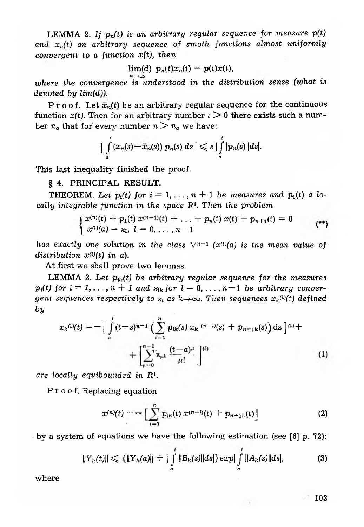LEMMA 2. If  $p_n(t)$  is an arbitrary regular sequence for measure  $p(t)$ and  $x_n(t)$  an arbitrary sequence of smoth functions almost uniformly *convergent to a function x(t), then*

$$
\lim(d) \ p_n(t)x_n(t) = p(t)x(t),
$$

where the convergence is understood in the distribution sense (what is *denoted by lim(d)).*

Proof. Let  $\bar{x}_n(t)$  be an arbitrary regular sequence for the continuous function  $x(t)$ . Then for an arbitrary number  $\varepsilon > 0$  there exists such a number  $n_o$  that for every number  $n > n_o$  we have:

$$
\left|\int_a^t (x_n(s)-\bar{x}_n(s)) p_n(s) ds\right| \leqslant \varepsilon \left|\int_a^t |p_n(s)| ds\right|.
$$

This last ineqûality finished the proof.

§ 4. PRINCIPAL RESULT.

THEOREM. Let  $p_i(t)$  for  $i = 1, ..., n + 1$  be measures and  $p_i(t)$  a lo*cally integrable function in the space R1. Then the problem*

$$
\begin{cases}\nx^{(n)}(t) + p_1(t)x^{(n-1)}(t) + \ldots + p_n(t)x(t) + p_{n+1}(t) = 0 \\
x^{(1)}(a) = x_1, \quad l = 0, \ldots, n-1\n\end{cases}
$$

*has exactly one solution in the class*  $\sqrt{n-1}$  *(x<sup>(l)</sup>(a) is the mean value of distribution x<l)(t) in a).*

At first we shall prove two lemmas.

LEMMA 3. Let  $p_{\mu}(t)$  be arbitrary regular sequence for the measures  $p_i(t)$  for  $i = 1, \ldots, n + 1$  and  $x_{lk}$  for  $l = 0, \ldots, n-1$  be arbitrary conver*gent sequences respectively to*  $x_t$  *as*  $k \rightarrow \infty$ *. Then sequences*  $x_k^{(l)}(t)$  *defined by*

$$
x_{k}^{(l)}(t) = -\Big[\int_{a}^{t} (t-s)^{n-1} \Big(\sum_{i=1}^{n} p_{lk}(s) x_{k}^{-(n-i)}(s) + p_{n+1k}(s)\Big) ds\Big]^{(l)} + \Big[\sum_{\mu=0}^{n-1} x_{\mu k} \frac{(t-a)^{\mu}}{\mu!}\Big]^{(l)} \tag{1}
$$

*are locally equibounded in R<sup>1</sup>.* 

Proof. Replacing equation

$$
x^{(n)}(t) = -\left[\sum_{i=1}^{n} p_{ik}(t) x^{(n-i)}(t) + p_{n+1k}(t)\right]
$$
 (2)

by a system of equations we have the following estimation (see  $[6]$  p. 72):

$$
||Y_{I_2}(t)|| \leq \{||Y_{I_2}(a)|| + |\int_a^t ||B_{I_2}(s)||ds|\} exp|\int_a^t ||A_{I_2}(s)||ds|,
$$
 (3)

where

103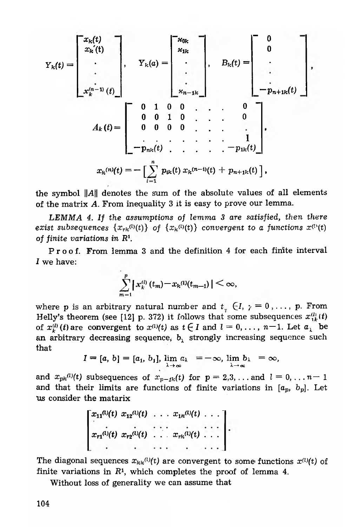$$
Y_{k}(t) = \begin{bmatrix} x_{k}(t) \\ x_{k}(t) \\ \vdots \\ x_{k}^{(n-1)}(t) \end{bmatrix}, \quad Y_{k}(a) = \begin{bmatrix} x_{0k} \\ x_{1k} \\ \vdots \\ x_{n-1k} \end{bmatrix}, \quad B_{k}(t) = \begin{bmatrix} 0 \\ 0 \\ \vdots \\ -p_{n+1k}(t) \end{bmatrix},
$$
  

$$
A_{k}(t) = \begin{bmatrix} 0 & 1 & 0 & 0 & \dots & 0 \\ 0 & 0 & 1 & 0 & \dots & 0 \\ 0 & 0 & 0 & 0 & \dots & 1 \\ \vdots & \vdots & \vdots & \ddots & \vdots & \vdots \\ -p_{nk}(t) & \dots & \dots & \dots & \dots & 1 \\ \vdots & \vdots & \vdots & \ddots & \vdots & \vdots \\ -p_{nk}(t) & \dots & \dots & \dots & \dots & \dots \\ \vdots & \vdots & \vdots & \ddots & \vdots & \vdots \\ -p_{nk}(t) & \dots & \dots & \dots & \dots & \dots \\ \vdots & \vdots & \vdots & \vdots & \ddots & \vdots \\ -p_{nk}(t) & \dots & \dots & \dots & \dots & \dots \\ \vdots & \vdots & \vdots & \vdots & \vdots & \vdots \\ -p_{nk}(t) & \dots & \dots & \dots & \dots & \dots \\ \vdots & \vdots & \vdots & \vdots & \vdots & \vdots \\ \vdots & \vdots & \vdots & \vdots & \vdots & \vdots \\ \vdots & \vdots & \vdots & \vdots & \vdots & \vdots \\ \vdots & \vdots & \vdots & \vdots & \vdots & \vdots \\ \vdots & \vdots & \vdots & \vdots & \vdots & \vdots \\ \vdots & \vdots & \vdots & \vdots & \vdots & \vdots \\ \vdots & \vdots & \vdots & \vdots & \vdots & \vdots \\ \vdots & \vdots & \vdots & \vdots & \vdots & \vdots \\ \vdots & \vdots & \vdots & \vdots & \vdots & \vdots \\ \vdots & \vdots & \vdots & \vdots & \vdots & \vdots \\ \vdots & \vdots & \vdots & \vdots & \vdots & \vdots \\ \vdots & \vdots & \vdots & \vdots & \vdots & \vdots \\ \vdots & \vdots & \vdots & \vdots & \vdots & \vdots \\
$$

the symbol  $||A||$  denotes the sum of the absolute values of all elements of the matrix *A.* From inequality 3 it is easy to prove our lemma.

*LE M M A 4. If the assumptions of lemma 3 are satisfied, then there exist subsequences*  $\{x_{rk}^{(l)}(t)\}$  of  $\{x_k^{(l)}(t)\}$  convergent to a functions  $x^{(l)}(t)$ of finite *variations in R1.*

Proof. From lemma 3 and the definition 4 for each finite interval *I* we have:

$$
\sum_{m=1}^p \left| x_k^{(l)}(t_m) - x_k^{(l)}(t_{m-1}) \right| < \infty,
$$

where p is an arbitrary natural number and  $t_{\tau}$   $\in I$ ,  $\gamma = 0, \ldots, p$ . From Helly's theorem (see [12] p. 372) it follows that some subsequences  $x_{ik}^{(l)}(t)$ of  $x_k^{(l)}(t)$  are convergent to  $x^{(l)}(t)$  as  $t \in I$  and  $l = 0, \ldots, n-1$ . Let  $a_k$  be an arbitrary decreasing sequence,  $b<sub>\lambda</sub>$  strongly increasing sequence such that

$$
I = [a, b] = [a_1, b_1], \lim_{\lambda \to \infty} a_\lambda = -\infty, \lim_{\lambda \to \infty} b_\lambda = \infty,
$$

and  $x_{pk}^{(l)}(t)$  subsequences of  $x_{p-lk}(t)$  for  $p = 2,3,...$  and  $l = 0,...,n-1$ and that their limits are functions of finite variations in  $[a_p, b_p]$ . Let Us consider the matarix

$$
\begin{bmatrix} x_{11}^{(l)}(t) & x_{12}^{(l)}(t) & \dots & x_{1k}^{(l)}(t) & \dots \\ x_{r1}^{(l)}(t) & x_{r2}^{(l)}(t) & \dots & x_{rk}^{(l)}(t) & \dots \\ \vdots & \vdots & \ddots & \vdots & \ddots \end{bmatrix}.
$$

The diagonal sequences  $x_{kk}(l)(t)$  are convergent to some functions  $x^{(l)}(t)$  of finite variations in  $R<sup>1</sup>$ , which completes the proof of lemma 4.

Without loss of generality we can assume that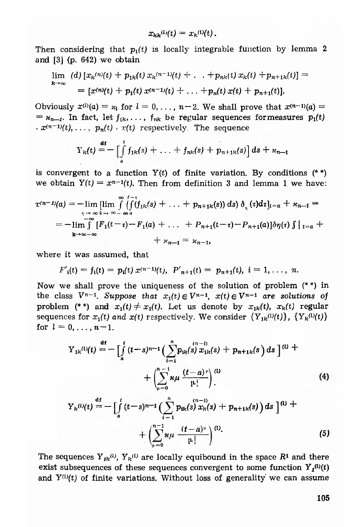$$
x_{kk}^{(l)}(t) = x_k^{(l)}(t).
$$

Then considering that  $p_1(t)$  is locally integrable function by lemma 2 and  $[3]$  (p. 642) we obtain

$$
\lim_{k\to\infty} (d) \left[ x_k^{(n)}(t) + p_{1k}(t) \, x_k^{(n-1)}(t) + \ldots + p_{nk}(t) \, x_k(t) + p_{n+1k}(t) \right] = \\ = \left[ x^{(n)}(t) + p_1(t) \, x^{(n-1)}(t) + \ldots + p_n(t) \, x(t) + p_{n+1}(t) \right].
$$

Obviously  $x^{(l)}(a) = x_l$  for  $l = 0, \ldots, n-2$ . We shall prove that  $x^{(n-1)}(a) =$  $= x_{n-i}$ . In fact, let  $f_{1k}, \ldots, f_{nk}$  be regular sequences formeasures  $p_1(t)$  $\cdot x^{(n-1)}(t), \ldots, p_n(t) \cdot x(t)$  respectively. The sequence

$$
Y_{k}(t) = -\left[\int\limits_{a}^{t} f_{1k}(s) + \ldots + f_{nk}(s) + p_{n+1k}(s)\right] ds + \kappa_{n-1}
$$

is convergent to a function  $Y(t)$  of finite variation. By conditions (\*\*) we obtain  $Y(t) = x^{n-1}(t)$ . Then from definition 3 and lemma 1 we have:

$$
x^{(n-1)}(a) = -\lim_{\substack{n \to \infty \\ n \to \infty}} \lim_{k \to \infty} \int_{-\infty}^{0} \left( \int_{1}^{+\infty} (f_{1k}(s) + \ldots + p_{n+1k}(s)) ds \right) \delta_{n}(\tau) d\tau \right]_{t=a} + \varkappa_{n-1} =
$$
  
=  $-\lim_{k \to \infty} \int_{-\infty}^{\infty} [F_{1}(t-\tau) - F_{1}(a) + \ldots + P_{n+1}(t-\tau) - P_{n+1}(a)] \delta \eta(\tau) \int_{0}^{+\infty} t = a +$   
+  $\varkappa_{n-1} = \varkappa_{n-1},$ 

**where it was assumed, that**

$$
F'_{i}(t) = f_{i}(t) = p_{i}(t) x^{(n-1)}(t), P'_{n+1}(t) = p_{n+1}(t), i = 1, ..., n.
$$

Now we shall prove the uniqueness of the solution of problem  $(**)$  in the class  $V^{n-1}$ . *Suppose that*  $x_1(t) \in V^{n-1}$ ,  $x(t) \in V^{n-1}$  *are solutions of* problem (\*\*) and  $x_1(t) \neq x_1(t)$ . Let us denote by  $x_{1k}(t)$ ,  $x_k(t)$  regular sequences for  $x_i(t)$  and  $x(t)$  respectively. We consider  ${Y_{1k}(0(t))}, {Y_{k}(0(t))}$ for  $l = 0, \ldots, n-1$ .

$$
Y_{1k}^{(l)}(t) = -\left[\int_{a}^{t} (t-s)^{n-1} \left(\sum_{i=1}^{n} p_{ik}(s) \, x_{1k}(s) + p_{n+1k}(s) \, ds\right]^{(l)} + \left(\sum_{\mu=0}^{n-1} \kappa \mu \, \frac{(t-a)^{\mu}}{\mu!}\right)^{(l)} \right]^{(l)} \tag{4}
$$

$$
Y_{k}(t) = -\left[\int_{a}^{t} (t-s)^{n-1} \left(\sum_{i=1}^{n} p_{ik}(s) x_{k}(s) + p_{n+1k}(s)\right) ds\right]^{(t)} + \left(\sum_{\mu=0}^{n-1} \kappa \mu \frac{(t-a)^{\mu}}{\mu!}\right)^{(t)}.
$$
\n(5)

The sequences  $Y_{ik}^{(l)}$ ,  $Y_{k}^{(l)}$  are locally equibound in the space  $R^1$  and there exist subsequences of these sequences convergent to some function  $Y_t^{(0)}(t)$ and  $Y^{(l)}(t)$  of finite variations. Without loss of generality we can assume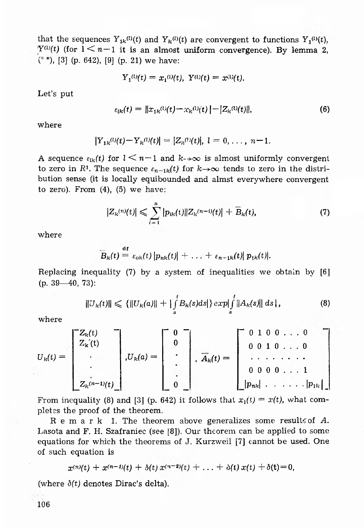that the sequences  $Y_{1k}^{(l)}(t)$  and  $Y_k^{(l)}(t)$  are convergent to functions  $Y_i^{(l)}(t)$ , *Y*<sup>(1)</sup>(*t*) (for  $1 < n-1$  it is an almost uniform convergence). By lemma 2,  $(**)$ , [3] (p. 642), [9] (p. 21) we have:

$$
Y_1^{(l)}(t) = x_1^{(l)}(t), Y^{(l)}(t) = x^{(l)}(t).
$$

Let's put

$$
\varepsilon_{lk}(t) = ||x_{1k}(0)(t) - x_{k}(0)(t)|| - |Z_{k}(0)(t)||,
$$
\n(6)

where

$$
|Y_{1k}^{(l)}(t)-Y_{k}^{(l)}(t)|=|Z_{k}^{(l)}(t)|, l=0,\ldots, n-1.
$$

A sequence  $\varepsilon_{ik}(t)$  for  $1 \leq n-1$  and  $k \to \infty$  is almost uniformly convergent to zero in *R*<sup>1</sup>. The sequence  $\varepsilon_{n-1k}(t)$  for  $k \to \infty$  tends to zero in the distribution sense (it is locally equibounded and almst everywhere convergent to zero). From  $(4)$ ,  $(5)$  we have:

$$
|Z_{k}(n)(t)| \leqslant \sum_{i=1}^{n} |p_{ik}(t)||Z_{k}(n-i)(t)| + \widetilde{B}_{k}(t), \tag{7}
$$

where

$$
\overline{B}_{k}(t) \stackrel{\mathrm{df}}{=} \varepsilon_{\mathrm{ok}}(t) |p_{nk}(t)| + \ldots + \varepsilon_{n-1k}(t) |p_{1k}(t)|.
$$

Replacing inequality (7) by a system of inequalities we obtain by [6]  $(p. 39 - 40, 73)$ :

$$
||U_{k}(t)|| \leq \{||U_{k}(a)|| + |\int_{a}^{t} B_{k}(s)ds|\} exp[\int_{a}^{t} ||A_{k}(s)|| ds|,
$$
\n(8)

where

$$
U_{k}(t) = \begin{bmatrix} Z_{k}(t) & - \\ Z_{k}(t) & \\ \cdot & \cdot \\ \cdot & \cdot \\ Z_{k}(n-1)(t) \end{bmatrix}, U_{k}(a) = \begin{bmatrix} 0 & - \\ 0 & \\ \cdot & \cdot \\ \cdot & \cdot \\ 0 & \cdot \end{bmatrix}, \overline{A}_{k}(t) = \begin{bmatrix} 0 & 1 & 0 & 0 & \dots & 0 \\ 0 & 0 & 1 & 0 & \dots & 0 \\ \cdot & \cdot & \cdot & \cdot & \cdot & \cdot & \cdot \\ 0 & 0 & 0 & 0 & \dots & 1 \\ \cdot & \cdot & \cdot & \cdot & \cdot & \cdot & \cdot \\ 0 & 0 & 0 & 0 & \dots & 1 \\ \cdot & \cdot & \cdot & \cdot & \cdot & \cdot & \cdot \\ 0 & 0 & 0 & \dots & \cdot & 1 \\ 0 & 0 & 0 & \dots & \cdot & \cdot & \cdot \\ \end{bmatrix}
$$

From inequality (8) and [3] (p. 642) it follows that  $x_1(t) = x(t)$ , what completes the proof of the theorem.

Remark 1. The theorem above generalizes some results of A. Lasota and F. H. Szafraniec (see [8]). Our theorem can be applied to some equations for which the theorems of J. Kurzweil [7] cannot be used. One of such equation is

$$
x^{(n)}(t) + x^{(n-1)}(t) + \delta(t) x^{(n-2)}(t) + \ldots + \delta(t) x(t) + \delta(t) = 0,
$$

(where  $\delta(t)$  denotes Dirac's delta).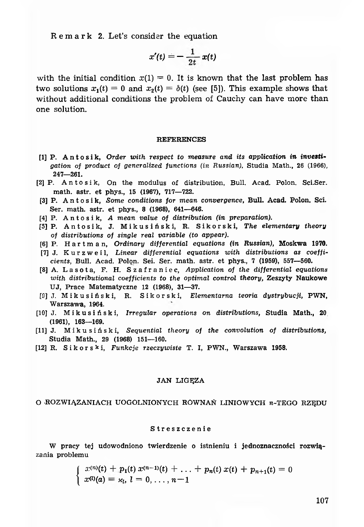R em ark 2. Let's consider the equation

$$
x'(t) = -\frac{1}{2t} x(t)
$$

with the initial condition  $x(1) = 0$ . It is known that the last problem has two solutions  $x_1(t) = 0$  and  $x_2(t) = \delta(t)$  (see [5]). This example shows that without additional conditions the problem of Cauchy can have more than one solution.

#### REFERENCES

- [1] P. Antosik, Order with respect to measure and its application in investi*gation of product of generalized functions (in Russian),* Studia Math., 26 (1966), 247— 261.
- [2] P. Antosik, On the modulus of distribution, Bull. Acad. Polon. Sci.Ser. math. astr. et phys., 15 (1967), 717— 722.
- [3] P. A n t o s i k, *Some conditions for mean convergence,* Bull. Acad. Polon. Sci. Ser. math. astr. et phys., 8 (1968), 641— 646.
- [4] P. A n t o s i k, *A mean value of distribution (in preparation).*
- [5] P. Antosik, J. Mikusiński, R. Sikorski, The elementary theory *of distributions of single real variable (to appear).*
- [6] P. H a r t m a n , *Ordinary differential equations (in Russian),* Moskwa 1970.
- [7] J. Kurzweil, *Linear differential equations with distributions as coefficients,* Bull. Acad. Polon. Sei. Ser. math. astr. et phys., 7 (1959), 557— 560.
- [8] A. L a s o t a, F. H. S z a f r a n i e c, *Application of the differential equations with distributional coefficients to the optim al control theory,* Zeszyty Naukowe UJ, Prace Matematyczne 12 (1968), 31— 37.
- [9] J. M i k u s i ń s k i, R. Sikorski, *Elementarna teoria dystrybucji,* PW N, Warszawa, 1964.
- [10] J. Mikusiński, *Irregular operations on distributions,* Studia Math., 20 (1961), 163— 169.
- [11] J. Mikusiński, *Sequential theory of the convolution of distributions,* Studia Math., 29 (1968) 151— 160.
- [12] R. Sikorski, *Funkcje rzeczywiste* T. I, PWN., Warszawa 1958.

#### JAN LIGEZA

### O ROZWIĄZANIACH UOGOLNIONYCH RÓWNAŃ LINIOWYCH n-TEGO RZĘDU

#### Streszczenie

W pracy tej udowodniono twierdzenie o istnieniu i jednoznaczności rozwiązania problemu

$$
\begin{cases}\nx^{(n)}(t) + p_1(t)x^{(n-1)}(t) + \ldots + p_n(t)x(t) + p_{n+1}(t) = 0 \\
x^{(1)}(a) = x_1, \ l = 0, \ldots, n-1\n\end{cases}
$$